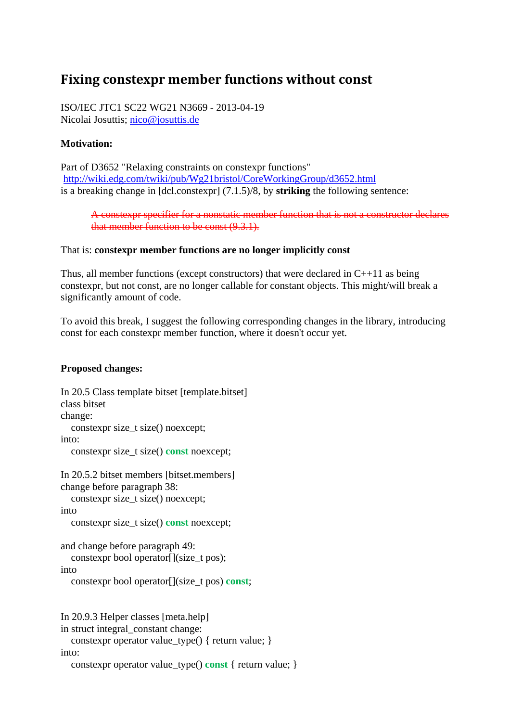# **Fixing constexpr member functions without const**

ISO/IEC JTC1 SC22 WG21 N3669 - 2013-04-19 Nicolai Josuttis; nico@josuttis.de

## **Motivation:**

Part of D3652 "Relaxing constraints on constexpr functions" http://wiki.edg.com/twiki/pub/Wg21bristol/CoreWorkingGroup/d3652.html is a breaking change in [dcl.constexpr] (7.1.5)/8, by **striking** the following sentence:

#### A constexpr specifier for a nonstatic member function that is not a constructor declares that member function to be const (9.3.1).

#### That is: **constexpr member functions are no longer implicitly const**

Thus, all member functions (except constructors) that were declared in  $C_{++}11$  as being constexpr, but not const, are no longer callable for constant objects. This might/will break a significantly amount of code.

To avoid this break, I suggest the following corresponding changes in the library, introducing const for each constexpr member function, where it doesn't occur yet.

### **Proposed changes:**

```
In 20.5 Class template bitset [template.bitset] 
class bitset 
change: 
  constexpr size t size() noexcept:
into: 
   constexpr size_t size() const noexcept; 
In 20.5.2 bitset members [bitset.members] 
change before paragraph 38: 
   constexpr size_t size() noexcept; 
into 
  constexpr size t size() const noexcept;
and change before paragraph 49: 
   constexpr bool operator[](size_t pos); 
into 
   constexpr bool operator[](size_t pos) const; 
In 20.9.3 Helper classes [meta.help] 
in struct integral_constant change: 
   constexpr operator value_type() { return value; } 
into: 
   constexpr operator value_type() const { return value; }
```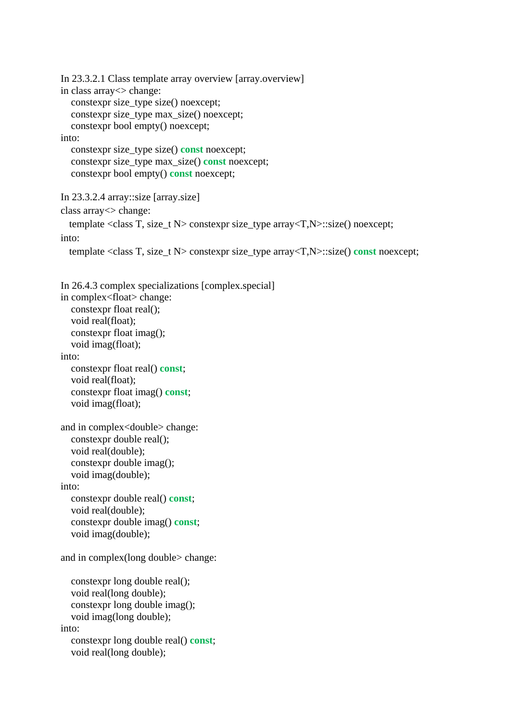```
In 23.3.2.1 Class template array overview [array.overview] 
in class array<> change: 
  constexpr size type size() noexcept;
   constexpr size_type max_size() noexcept; 
   constexpr bool empty() noexcept; 
into: 
   constexpr size_type size() const noexcept; 
  constexpr size type max size() const noexcept;
   constexpr bool empty() const noexcept; 
In 23.3.2.4 array::size [array.size] 
class array<> change:  
      template <class T, size_t N> constexpr size_type array<T,N>::size() noexcept; 
into: 
      template <class T, size_t N> constexpr size_type array<T,N>::size() const noexcept; 
In 26.4.3 complex specializations [complex.special] 
in complex<float> change: 
   constexpr float real(); 
   void real(float); 
   constexpr float imag(); 
   void imag(float); 
into: 
   constexpr float real() const; 
   void real(float); 
   constexpr float imag() const; 
   void imag(float); 
and in complex<double> change: 
   constexpr double real(); 
   void real(double); 
   constexpr double imag(); 
   void imag(double); 
into: 
   constexpr double real() const; 
   void real(double); 
   constexpr double imag() const; 
   void imag(double); 
and in complex(long double> change: 
   constexpr long double real(); 
   void real(long double); 
   constexpr long double imag(); 
   void imag(long double); 
into: 
   constexpr long double real() const; 
   void real(long double);
```